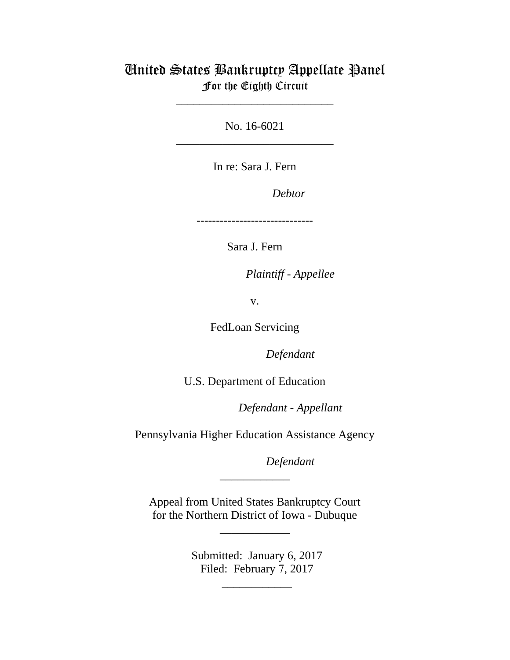# United States Bankruptcy Appellate Panel For the Eighth Circuit

\_\_\_\_\_\_\_\_\_\_\_\_\_\_\_\_\_\_\_\_\_\_\_\_\_\_\_

No. 16-6021 \_\_\_\_\_\_\_\_\_\_\_\_\_\_\_\_\_\_\_\_\_\_\_\_\_\_\_

In re: Sara J. Fern

Debtor

------------------------------

Sara J. Fern

Plaintiff - Appellee

v.

FedLoan Servicing

Defendant

U.S. Department of Education

lllllllllllllllllllll *Defendant - Appellant*

Pennsylvania Higher Education Assistance Agency

Defendant

Appeal from United States Bankruptcy Court for the Northern District of Iowa - Dubuque

\_\_\_\_\_\_\_\_\_\_\_\_

\_\_\_\_\_\_\_\_\_\_\_\_

Submitted: January 6, 2017 Filed: February 7, 2017

\_\_\_\_\_\_\_\_\_\_\_\_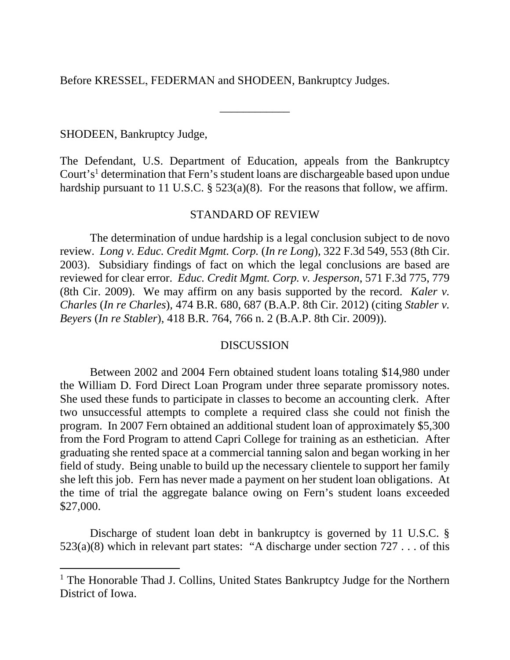Before KRESSEL, FEDERMAN and SHODEEN, Bankruptcy Judges.

SHODEEN, Bankruptcy Judge,

The Defendant, U.S. Department of Education, appeals from the Bankruptcy Court's<sup>1</sup> determination that Fern's student loans are dischargeable based upon undue hardship pursuant to 11 U.S.C. § 523(a)(8). For the reasons that follow, we affirm.

\_\_\_\_\_\_\_\_\_\_\_\_

### STANDARD OF REVIEW

The determination of undue hardship is a legal conclusion subject to de novo review. *Long v. Educ. Credit Mgmt. Corp.* (*In re Long*)*,* 322 F.3d 549, 553 (8th Cir. 2003). Subsidiary findings of fact on which the legal conclusions are based are reviewed for clear error. *Educ. Credit Mgmt. Corp. v. Jesperson*, 571 F.3d 775, 779 (8th Cir. 2009). We may affirm on any basis supported by the record. *Kaler v. Charles* (*In re Charles*)*,* 474 B.R. 680, 687 (B.A.P. 8th Cir. 2012) (citing *Stabler v. Beyers* (*In re Stabler*), 418 B.R. 764, 766 n. 2 (B.A.P. 8th Cir. 2009)).

#### **DISCUSSION**

Between 2002 and 2004 Fern obtained student loans totaling \$14,980 under the William D. Ford Direct Loan Program under three separate promissory notes. She used these funds to participate in classes to become an accounting clerk. After two unsuccessful attempts to complete a required class she could not finish the program. In 2007 Fern obtained an additional student loan of approximately \$5,300 from the Ford Program to attend Capri College for training as an esthetician. After graduating she rented space at a commercial tanning salon and began working in her field of study. Being unable to build up the necessary clientele to support her family she left this job. Fern has never made a payment on her student loan obligations. At the time of trial the aggregate balance owing on Fern's student loans exceeded \$27,000.

Discharge of student loan debt in bankruptcy is governed by 11 U.S.C. § 523(a)(8) which in relevant part states: "A discharge under section  $727...$  of this

<sup>&</sup>lt;sup>1</sup> The Honorable Thad J. Collins, United States Bankruptcy Judge for the Northern District of Iowa.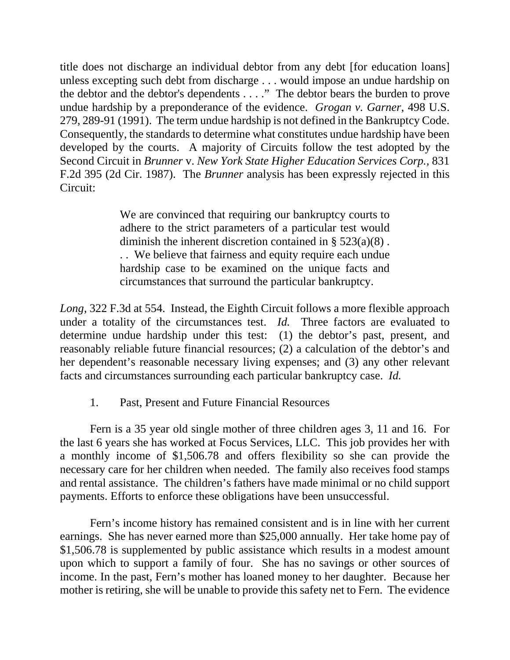title does not discharge an individual debtor from any debt [for education loans] unless excepting such debt from discharge . . . would impose an undue hardship on the debtor and the debtor's dependents . . . ." The debtor bears the burden to prove undue hardship by a preponderance of the evidence. *Grogan v. Garner*, 498 U.S. 279, 289-91 (1991). The term undue hardship is not defined in the Bankruptcy Code. Consequently, the standards to determine what constitutes undue hardship have been developed by the courts. A majority of Circuits follow the test adopted by the Second Circuit in *Brunner* v. *New York State Higher Education Services Corp.,* 831 F.2d 395 (2d Cir. 1987). The *Brunner* analysis has been expressly rejected in this Circuit:

> We are convinced that requiring our bankruptcy courts to adhere to the strict parameters of a particular test would diminish the inherent discretion contained in § 523(a)(8) . . . We believe that fairness and equity require each undue hardship case to be examined on the unique facts and circumstances that surround the particular bankruptcy.

*Long*, 322 F.3d at 554. Instead, the Eighth Circuit follows a more flexible approach under a totality of the circumstances test. *Id.* Three factors are evaluated to determine undue hardship under this test: (1) the debtor's past, present, and reasonably reliable future financial resources; (2) a calculation of the debtor's and her dependent's reasonable necessary living expenses; and (3) any other relevant facts and circumstances surrounding each particular bankruptcy case. *Id.*

1. Past, Present and Future Financial Resources

 Fern is a 35 year old single mother of three children ages 3, 11 and 16. For the last 6 years she has worked at Focus Services, LLC. This job provides her with a monthly income of \$1,506.78 and offers flexibility so she can provide the necessary care for her children when needed. The family also receives food stamps and rental assistance. The children's fathers have made minimal or no child support payments. Efforts to enforce these obligations have been unsuccessful.

 Fern's income history has remained consistent and is in line with her current earnings. She has never earned more than \$25,000 annually. Her take home pay of \$1,506.78 is supplemented by public assistance which results in a modest amount upon which to support a family of four. She has no savings or other sources of income. In the past, Fern's mother has loaned money to her daughter. Because her mother is retiring, she will be unable to provide this safety net to Fern. The evidence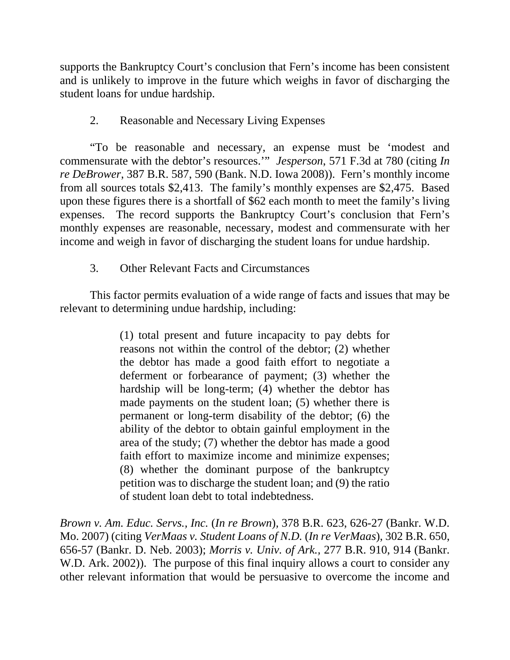supports the Bankruptcy Court's conclusion that Fern's income has been consistent and is unlikely to improve in the future which weighs in favor of discharging the student loans for undue hardship.

## 2. Reasonable and Necessary Living Expenses

 "To be reasonable and necessary, an expense must be 'modest and commensurate with the debtor's resources.'" *Jesperson*, 571 F.3d at 780 (citing *In re DeBrower*, 387 B.R. 587, 590 (Bank. N.D. Iowa 2008)). Fern's monthly income from all sources totals \$2,413. The family's monthly expenses are \$2,475. Based upon these figures there is a shortfall of \$62 each month to meet the family's living expenses. The record supports the Bankruptcy Court's conclusion that Fern's monthly expenses are reasonable, necessary, modest and commensurate with her income and weigh in favor of discharging the student loans for undue hardship.

## 3. Other Relevant Facts and Circumstances

 This factor permits evaluation of a wide range of facts and issues that may be relevant to determining undue hardship, including:

> (1) total present and future incapacity to pay debts for reasons not within the control of the debtor; (2) whether the debtor has made a good faith effort to negotiate a deferment or forbearance of payment; (3) whether the hardship will be long-term; (4) whether the debtor has made payments on the student loan; (5) whether there is permanent or long-term disability of the debtor; (6) the ability of the debtor to obtain gainful employment in the area of the study; (7) whether the debtor has made a good faith effort to maximize income and minimize expenses; (8) whether the dominant purpose of the bankruptcy petition was to discharge the student loan; and (9) the ratio of student loan debt to total indebtedness.

*Brown v. Am. Educ. Servs., Inc.* (*In re Brown*)*,* 378 B.R. 623, 626-27 (Bankr. W.D. Mo. 2007) (citing *VerMaas v. Student Loans of N.D.* (*In re VerMaas*), 302 B.R. 650, 656-57 (Bankr. D. Neb. 2003); *Morris v. Univ. of Ark.,* 277 B.R. 910, 914 (Bankr. W.D. Ark. 2002)). The purpose of this final inquiry allows a court to consider any other relevant information that would be persuasive to overcome the income and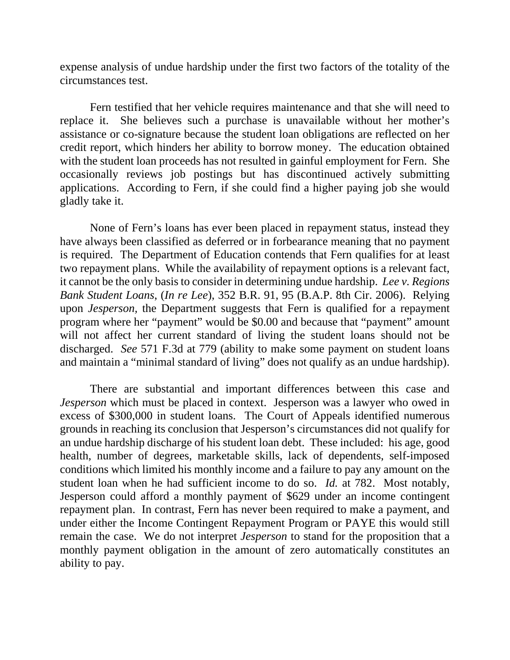expense analysis of undue hardship under the first two factors of the totality of the circumstances test.

 Fern testified that her vehicle requires maintenance and that she will need to replace it. She believes such a purchase is unavailable without her mother's assistance or co-signature because the student loan obligations are reflected on her credit report, which hinders her ability to borrow money. The education obtained with the student loan proceeds has not resulted in gainful employment for Fern. She occasionally reviews job postings but has discontinued actively submitting applications. According to Fern, if she could find a higher paying job she would gladly take it.

 None of Fern's loans has ever been placed in repayment status, instead they have always been classified as deferred or in forbearance meaning that no payment is required. The Department of Education contends that Fern qualifies for at least two repayment plans. While the availability of repayment options is a relevant fact, it cannot be the only basis to consider in determining undue hardship. *Lee v. Regions Bank Student Loans*, (*In re Lee*), 352 B.R. 91, 95 (B.A.P. 8th Cir. 2006). Relying upon *Jesperson,* the Department suggests that Fern is qualified for a repayment program where her "payment" would be \$0.00 and because that "payment" amount will not affect her current standard of living the student loans should not be discharged. *See* 571 F.3d at 779 (ability to make some payment on student loans and maintain a "minimal standard of living" does not qualify as an undue hardship).

 There are substantial and important differences between this case and *Jesperson* which must be placed in context. Jesperson was a lawyer who owed in excess of \$300,000 in student loans. The Court of Appeals identified numerous grounds in reaching its conclusion that Jesperson's circumstances did not qualify for an undue hardship discharge of his student loan debt. These included: his age, good health, number of degrees, marketable skills, lack of dependents, self-imposed conditions which limited his monthly income and a failure to pay any amount on the student loan when he had sufficient income to do so. *Id.* at 782. Most notably, Jesperson could afford a monthly payment of \$629 under an income contingent repayment plan. In contrast, Fern has never been required to make a payment, and under either the Income Contingent Repayment Program or PAYE this would still remain the case. We do not interpret *Jesperson* to stand for the proposition that a monthly payment obligation in the amount of zero automatically constitutes an ability to pay.